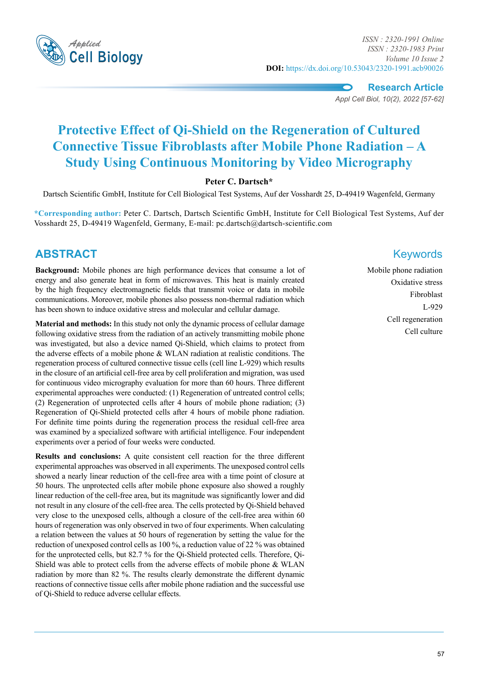

*Applied ISSN : 2320-1991 Online ISSN : 2320-1983 Print Volume 10 Issue 2* **DOI:** https://dx.doi.org/10.53043/2320-1991.acb90026

**Research Article**

*Appl Cell Biol, 10(2), 2022 [57-62]*

# **Protective Effect of Qi-Shield on the Regeneration of Cultured Connective Tissue Fibroblasts after Mobile Phone Radiation – A Study Using Continuous Monitoring by Video Micrography**

### **Peter C. Dartsch\***

Dartsch Scientific GmbH, Institute for Cell Biological Test Systems, Auf der Vosshardt 25, D-49419 Wagenfeld, Germany

**\*Corresponding author:** Peter C. Dartsch, Dartsch Scientific GmbH, Institute for Cell Biological Test Systems, Auf der Vosshardt 25, D-49419 Wagenfeld, Germany, E-mail: pc.dartsch@dartsch-scientific.com

## **ABSTRACT** Keywords

**Background:** Mobile phones are high performance devices that consume a lot of energy and also generate heat in form of microwaves. This heat is mainly created by the high frequency electromagnetic fields that transmit voice or data in mobile communications. Moreover, mobile phones also possess non-thermal radiation which has been shown to induce oxidative stress and molecular and cellular damage.

**Material and methods:** In this study not only the dynamic process of cellular damage following oxidative stress from the radiation of an actively transmitting mobile phone was investigated, but also a device named Qi-Shield, which claims to protect from the adverse effects of a mobile phone & WLAN radiation at realistic conditions. The regeneration process of cultured connective tissue cells (cell line L-929) which results in the closure of an artificial cell-free area by cell proliferation and migration, was used for continuous video micrography evaluation for more than 60 hours. Three different experimental approaches were conducted: (1) Regeneration of untreated control cells; (2) Regeneration of unprotected cells after 4 hours of mobile phone radiation; (3) Regeneration of Qi-Shield protected cells after 4 hours of mobile phone radiation. For definite time points during the regeneration process the residual cell-free area was examined by a specialized software with artificial intelligence. Four independent experiments over a period of four weeks were conducted.

**Results and conclusions:** A quite consistent cell reaction for the three different experimental approaches was observed in all experiments. The unexposed control cells showed a nearly linear reduction of the cell-free area with a time point of closure at 50 hours. The unprotected cells after mobile phone exposure also showed a roughly linear reduction of the cell-free area, but its magnitude was significantly lower and did not result in any closure of the cell-free area. The cells protected by Qi-Shield behaved very close to the unexposed cells, although a closure of the cell-free area within 60 hours of regeneration was only observed in two of four experiments. When calculating a relation between the values at 50 hours of regeneration by setting the value for the reduction of unexposed control cells as 100 %, a reduction value of 22 % was obtained for the unprotected cells, but 82.7 % for the Qi-Shield protected cells. Therefore, Qi-Shield was able to protect cells from the adverse effects of mobile phone & WLAN radiation by more than 82 %. The results clearly demonstrate the different dynamic reactions of connective tissue cells after mobile phone radiation and the successful use of Qi-Shield to reduce adverse cellular effects.

Mobile phone radiation Oxidative stress Fibroblast L-929 Cell regeneration Cell culture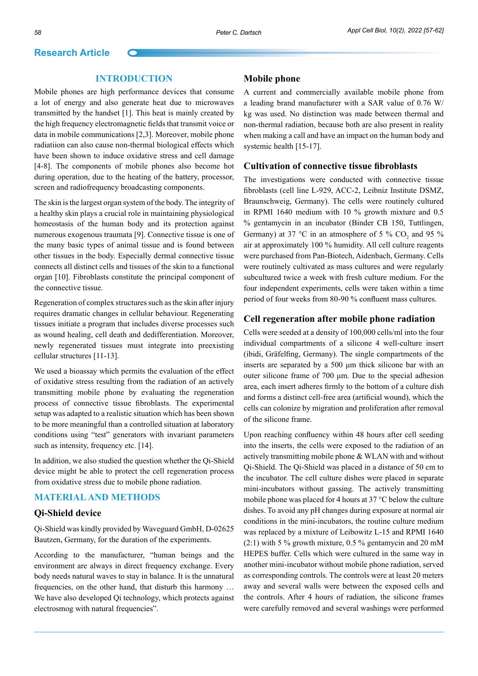#### **Introduction**

Mobile phones are high performance devices that consume a lot of energy and also generate heat due to microwaves transmitted by the handset [1]. This heat is mainly created by the high frequency electromagnetic fields that transmit voice or data in mobile communications [2,3]. Moreover, mobile phone radiatiion can also cause non-thermal biological effects which have been shown to induce oxidative stress and cell damage [4-8]. The components of mobile phones also become hot during operation, due to the heating of the battery, processor, screen and radiofrequency broadcasting components.

The skin is the largest organ system of the body. The integrity of a healthy skin plays a crucial role in maintaining physiological homeostasis of the human body and its protection against numerous exogenous traumata [9]. Connective tissue is one of the many basic types of animal tissue and is found between other tissues in the body. Especially dermal connective tissue connects all distinct cells and tissues of the skin to a functional organ [10]. Fibroblasts constitute the principal component of the connective tissue.

Regeneration of complex structures such as the skin after injury requires dramatic changes in cellular behaviour. Regenerating tissues initiate a program that includes diverse processes such as wound healing, cell death and dedifferentiation. Moreover, newly regenerated tissues must integrate into preexisting cellular structures [11-13].

We used a bioassay which permits the evaluation of the effect of oxidative stress resulting from the radiation of an actively transmitting mobile phone by evaluating the regeneration process of connective tissue fibroblasts. The experimental setup was adapted to a realistic situation which has been shown to be more meaningful than a controlled situation at laboratory conditions using "test" generators with invariant parameters such as intensity, frequency etc. [14].

In addition, we also studied the question whether the Qi-Shield device might be able to protect the cell regeneration process from oxidative stress due to mobile phone radiation.

#### **Material and Methods**

#### **Qi-Shield device**

Qi-Shield was kindly provided by Waveguard GmbH, D-02625 Bautzen, Germany, for the duration of the experiments.

According to the manufacturer, "human beings and the environment are always in direct frequency exchange. Every body needs natural waves to stay in balance. It is the unnatural frequencies, on the other hand, that disturb this harmony … We have also developed Qi technology, which protects against electrosmog with natural frequencies".

#### **Mobile phone**

A current and commercially available mobile phone from a leading brand manufacturer with a SAR value of 0.76 W/ kg was used. No distinction was made between thermal and non-thermal radiation, because both are also present in reality when making a call and have an impact on the human body and systemic health [15-17].

#### **Cultivation of connective tissue fibroblasts**

The investigations were conducted with connective tissue fibroblasts (cell line L-929, ACC-2, Leibniz Institute DSMZ, Braunschweig, Germany). The cells were routinely cultured in RPMI 1640 medium with 10 % growth mixture and 0.5 % gentamycin in an incubator (Binder CB 150, Tuttlingen, Germany) at 37 °C in an atmosphere of 5 %  $CO_2$  and 95 % air at approximately 100 % humidity. All cell culture reagents were purchased from Pan-Biotech, Aidenbach, Germany. Cells were routinely cultivated as mass cultures and were regularly subcultured twice a week with fresh culture medium. For the four independent experiments, cells were taken within a time period of four weeks from 80-90 % confluent mass cultures.

#### **Cell regeneration after mobile phone radiation**

Cells were seeded at a density of 100,000 cells/ml into the four individual compartments of a silicone 4 well-culture insert (ibidi, Gräfelfing, Germany). The single compartments of the inserts are separated by a 500 μm thick silicone bar with an outer silicone frame of 700 μm. Due to the special adhesion area, each insert adheres firmly to the bottom of a culture dish and forms a distinct cell-free area (artificial wound), which the cells can colonize by migration and proliferation after removal of the silicone frame.

Upon reaching confluency within 48 hours after cell seeding into the inserts, the cells were exposed to the radiation of an actively transmitting mobile phone & WLAN with and without Qi-Shield. The Qi-Shield was placed in a distance of 50 cm to the incubator. The cell culture dishes were placed in separate mini-incubators without gassing. The actively transmitting mobile phone was placed for 4 hours at 37 °C below the culture dishes. To avoid any pH changes during exposure at normal air conditions in the mini-incubators, the routine culture medium was replaced by a mixture of Leibowitz L-15 and RPMI 1640  $(2:1)$  with 5 % growth mixture, 0.5 % gentamycin and 20 mM HEPES buffer. Cells which were cultured in the same way in another mini-incubator without mobile phone radiation, served as corresponding controls. The controls were at least 20 meters away and several walls were between the exposed cells and the controls. After 4 hours of radiation, the silicone frames were carefully removed and several washings were performed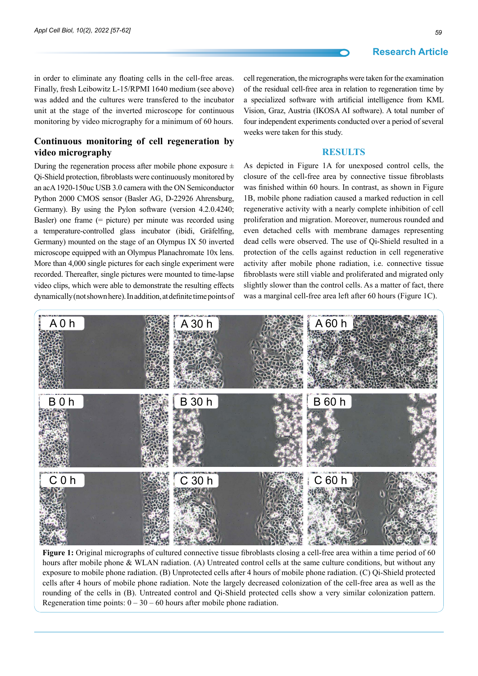in order to eliminate any floating cells in the cell-free areas. Finally, fresh Leibowitz L-15/RPMI 1640 medium (see above) was added and the cultures were transfered to the incubator unit at the stage of the inverted microscope for continuous monitoring by video micrography for a minimum of 60 hours.

#### **Continuous monitoring of cell regeneration by video micrography**

During the regeneration process after mobile phone exposure  $\pm$ Qi-Shield protection, fibroblasts were continuously monitored by an acA 1920-150uc USB 3.0 camera with the ON Semiconductor Python 2000 CMOS sensor (Basler AG, D-22926 Ahrensburg, Germany). By using the Pylon software (version 4.2.0.4240; Basler) one frame (= picture) per minute was recorded using a temperature-controlled glass incubator (ibidi, Gräfelfing, Germany) mounted on the stage of an Olympus IX 50 inverted microscope equipped with an Olympus Planachromate 10x lens. More than 4,000 single pictures for each single experiment were recorded. Thereafter, single pictures were mounted to time-lapse video clips, which were able to demonstrate the resulting effects dynamically (not shown here). In addition, at definite time points of cell regeneration, the micrographs were taken for the examination of the residual cell-free area in relation to regeneration time by a specialized software with artificial intelligence from KML Vision, Graz, Austria (IKOSA AI software). A total number of four independent experiments conducted over a period of several weeks were taken for this study.

#### **Results**

As depicted in Figure 1A for unexposed control cells, the closure of the cell-free area by connective tissue fibroblasts was finished within 60 hours. In contrast, as shown in Figure 1B, mobile phone radiation caused a marked reduction in cell regenerative activity with a nearly complete inhibition of cell proliferation and migration. Moreover, numerous rounded and even detached cells with membrane damages representing dead cells were observed. The use of Qi-Shield resulted in a protection of the cells against reduction in cell regenerative activity after mobile phone radiation, i.e. connective tissue fibroblasts were still viable and proliferated and migrated only slightly slower than the control cells. As a matter of fact, there was a marginal cell-free area left after 60 hours (Figure 1C).



**Figure 1:** Original micrographs of cultured connective tissue fibroblasts closing a cell-free area within a time period of 60 hours after mobile phone & WLAN radiation. (A) Untreated control cells at the same culture conditions, but without any exposure to mobile phone radiation. (B) Unprotected cells after 4 hours of mobile phone radiation. (C) Qi-Shield protected cells after 4 hours of mobile phone radiation. Note the largely decreased colonization of the cell-free area as well as the rounding of the cells in (B). Untreated control and Qi-Shield protected cells show a very similar colonization pattern. Regeneration time points:  $0 - 30 - 60$  hours after mobile phone radiation.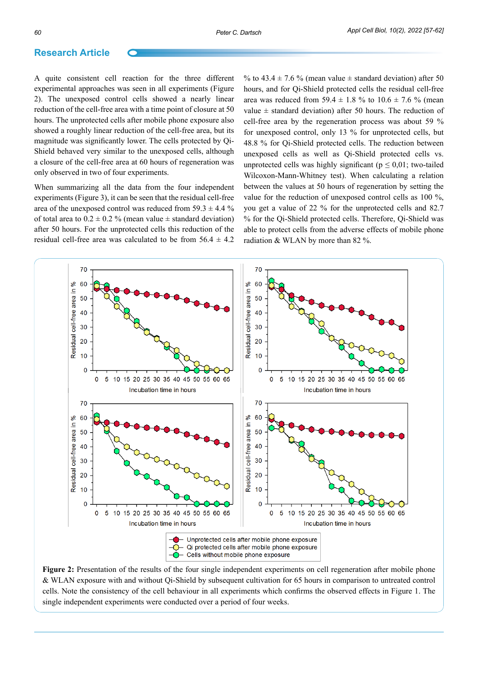A quite consistent cell reaction for the three different experimental approaches was seen in all experiments (Figure 2). The unexposed control cells showed a nearly linear reduction of the cell-free area with a time point of closure at 50 hours. The unprotected cells after mobile phone exposure also showed a roughly linear reduction of the cell-free area, but its magnitude was significantly lower. The cells protected by Qi-Shield behaved very similar to the unexposed cells, although a closure of the cell-free area at 60 hours of regeneration was only observed in two of four experiments.

When summarizing all the data from the four independent experiments (Figure 3), it can be seen that the residual cell-free area of the unexposed control was reduced from  $59.3 \pm 4.4$  % of total area to  $0.2 \pm 0.2$  % (mean value  $\pm$  standard deviation) after 50 hours. For the unprotected cells this reduction of the residual cell-free area was calculated to be from  $56.4 \pm 4.2$ 

% to 43.4  $\pm$  7.6 % (mean value  $\pm$  standard deviation) after 50 hours, and for Qi-Shield protected cells the residual cell-free area was reduced from 59.4  $\pm$  1.8 % to 10.6  $\pm$  7.6 % (mean value  $\pm$  standard deviation) after 50 hours. The reduction of cell-free area by the regeneration process was about 59 % for unexposed control, only 13 % for unprotected cells, but 48.8 % for Qi-Shield protected cells. The reduction between unexposed cells as well as Qi-Shield protected cells vs. unprotected cells was highly significant ( $p \le 0.01$ ; two-tailed Wilcoxon-Mann-Whitney test). When calculating a relation between the values at 50 hours of regeneration by setting the value for the reduction of unexposed control cells as 100 %, you get a value of 22 % for the unprotected cells and 82.7 % for the Qi-Shield protected cells. Therefore, Qi-Shield was able to protect cells from the adverse effects of mobile phone radiation & WLAN by more than 82 %.



**Figure 2:** Presentation of the results of the four single independent experiments on cell regeneration after mobile phone & WLAN exposure with and without Qi-Shield by subsequent cultivation for 65 hours in comparison to untreated control cells. Note the consistency of the cell behaviour in all experiments which confirms the observed effects in Figure 1. The single independent experiments were conducted over a period of four weeks.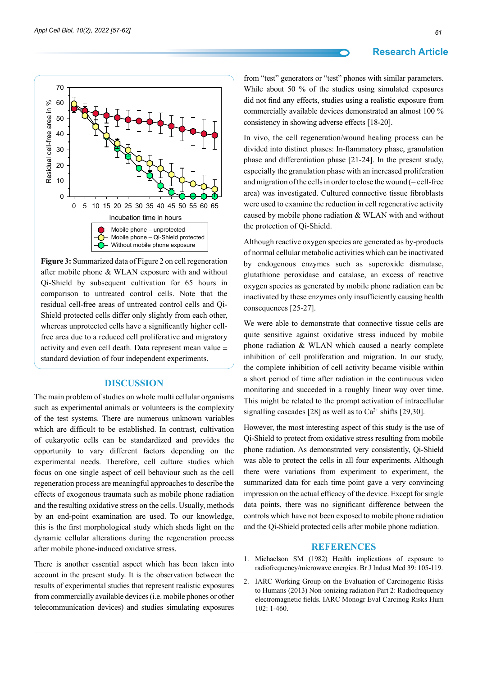Residual cell-free area in %

Residual cell-free area in %

#### **Research Article**





**Figure 3:** Summarized data of Figure 2 on cell regeneration after mobile phone & WLAN exposure with and without Qi-Shield by subsequent cultivation for 65 hours in comparison to untreated control cells. Note that the residual cell-free areas of untreated control cells and Qi-Shield protected cells differ only slightly from each other, whereas unprotected cells have a significantly higher cellfree area due to a reduced cell proliferative and migratory activity and even cell death. Data represent mean value ± standard deviation of four independent experiments.

#### **Discussion**

The main problem of studies on whole multi cellular organisms such as experimental animals or volunteers is the complexity of the test systems. There are numerous unknown variables which are difficult to be established. In contrast, cultivation of eukaryotic cells can be standardized and provides the opportunity to vary different factors depending on the experimental needs. Therefore, cell culture studies which focus on one single aspect of cell behaviour such as the cell regeneration process are meaningful approaches to describe the effects of exogenous traumata such as mobile phone radiation and the resulting oxidative stress on the cells. Usually, methods by an end-point examination are used. To our knowledge, this is the first morphological study which sheds light on the dynamic cellular alterations during the regeneration process after mobile phone-induced oxidative stress.

There is another essential aspect which has been taken into account in the present study. It is the observation between the results of experimental studies that represent realistic exposures from commercially available devices (i.e. mobile phones or other telecommunication devices) and studies simulating exposures

from "test" generators or "test" phones with similar parameters. While about 50 % of the studies using simulated exposures did not find any effects, studies using a realistic exposure from commercially available devices demonstrated an almost 100 % consistency in showing adverse effects [18-20].

In vivo, the cell regeneration/wound healing process can be divided into distinct phases: In-flammatory phase, granulation phase and differentiation phase [21-24]. In the present study, especially the granulation phase with an increased proliferation and migration of the cells in order to close the wound (= cell-free area) was investigated. Cultured connective tissue fibroblasts were used to examine the reduction in cell regenerative activity caused by mobile phone radiation & WLAN with and without the protection of Qi-Shield.

Although reactive oxygen species are generated as by-products of normal cellular metabolic activities which can be inactivated by endogenous enzymes such as superoxide dismutase, glutathione peroxidase and catalase, an excess of reactive oxygen species as generated by mobile phone radiation can be inactivated by these enzymes only insufficiently causing health consequences [25-27].

We were able to demonstrate that connective tissue cells are quite sensitive against oxidative stress induced by mobile phone radiation & WLAN which caused a nearly complete inhibition of cell proliferation and migration. In our study, the complete inhibition of cell activity became visible within a short period of time after radiation in the continuous video monitoring and succeded in a roughly linear way over time. This might be related to the prompt activation of intracellular signalling cascades [28] as well as to  $Ca^{2+}$  shifts [29,30].

However, the most interesting aspect of this study is the use of Qi-Shield to protect from oxidative stress resulting from mobile phone radiation. As demonstrated very consistently, Qi-Shield was able to protect the cells in all four experiments. Although there were variations from experiment to experiment, the summarized data for each time point gave a very convincing impression on the actual efficacy of the device. Except for single data points, there was no significant difference between the controls which have not been exposed to mobile phone radiation and the Qi-Shield protected cells after mobile phone radiation.

#### **References**

- 1. [Michaelson SM \(1982\) Health implications of exposure to](https://oem.bmj.com/content/39/2/105)  [radiofrequency/microwave energies. Br J Indust Med 39: 105-119.](https://oem.bmj.com/content/39/2/105)
- 2. [IARC Working Group on the Evaluation of Carcinogenic Risks](https://pubmed.ncbi.nlm.nih.gov/24772662/)  [to Humans \(2013\) Non-ionizing radiation Part 2: Radiofrequency](https://pubmed.ncbi.nlm.nih.gov/24772662/)  [electromagnetic fields. IARC Monogr Eval Carcinog Risks Hum](https://pubmed.ncbi.nlm.nih.gov/24772662/)  [102: 1-460.](https://pubmed.ncbi.nlm.nih.gov/24772662/)